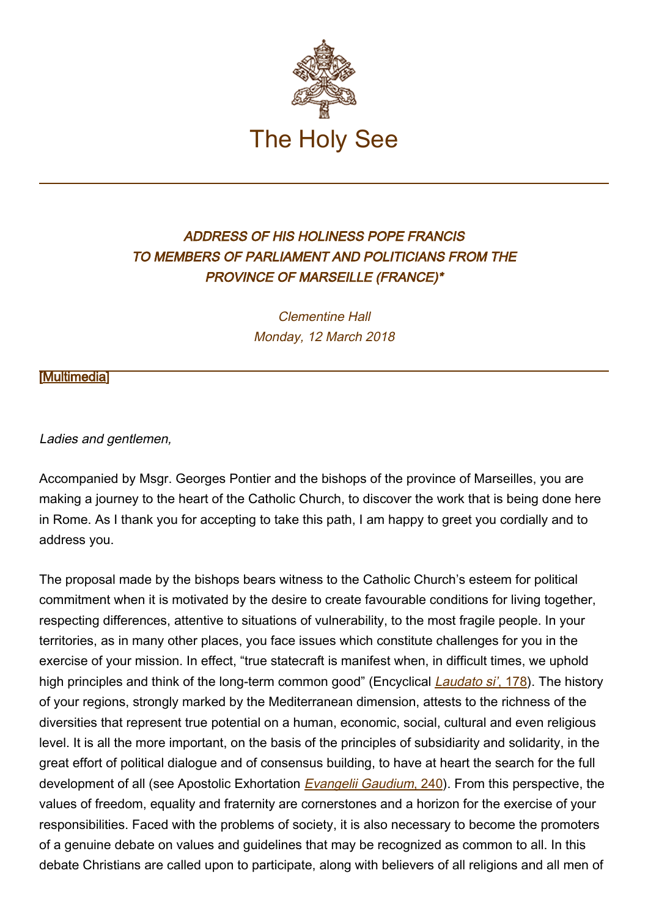

## ADDRESS OF HIS HOLINESS POPE FRANCIS TO MEMBERS OF PARLIAMENT AND POLITICIANS FROM THE PROVINCE OF MARSEILLE (FRANCE)\*

Clementine Hall Monday, 12 March 2018

## [\[Multimedia](http://w2.vatican.va/content/francesco/en/events/event.dir.html/content/vaticanevents/en/2018/3/12/politici-marsiglia.html)]

## Ladies and gentlemen,

Accompanied by Msgr. Georges Pontier and the bishops of the province of Marseilles, you are making a journey to the heart of the Catholic Church, to discover the work that is being done here in Rome. As I thank you for accepting to take this path, I am happy to greet you cordially and to address you.

The proposal made by the bishops bears witness to the Catholic Church's esteem for political commitment when it is motivated by the desire to create favourable conditions for living together, respecting differences, attentive to situations of vulnerability, to the most fragile people. In your territories, as in many other places, you face issues which constitute challenges for you in the exercise of your mission. In effect, "true statecraft is manifest when, in difficult times, we uphold high principles and think of the long-term common good" (Encyclical *Laudato si'*[, 178\)](http://w2.vatican.va/content/francesco/en/encyclicals/documents/papa-francesco_20150524_enciclica-laudato-si.html#178). The history of your regions, strongly marked by the Mediterranean dimension, attests to the richness of the diversities that represent true potential on a human, economic, social, cultural and even religious level. It is all the more important, on the basis of the principles of subsidiarity and solidarity, in the great effort of political dialogue and of consensus building, to have at heart the search for the full development of all (see Apostolic Exhortation *Evangelii Gaudium*[, 240\)](http://w2.vatican.va/content/francesco/en/apost_exhortations/documents/papa-francesco_esortazione-ap_20131124_evangelii-gaudium.html#IV.Social_dialogue_as_a_contribution_to_peace). From this perspective, the values of freedom, equality and fraternity are cornerstones and a horizon for the exercise of your responsibilities. Faced with the problems of society, it is also necessary to become the promoters of a genuine debate on values and guidelines that may be recognized as common to all. In this debate Christians are called upon to participate, along with believers of all religions and all men of